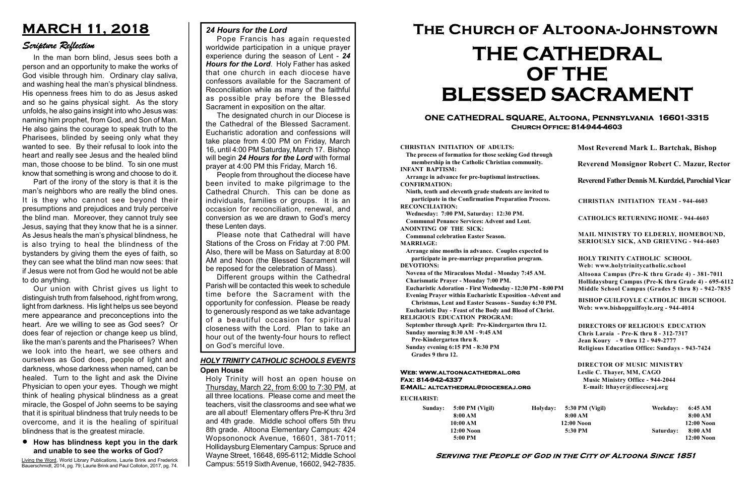#### Serving the People of God in the City of Altoona Since 1851

Sunday: 5:00 PM (Vigil) 8:00 AM 10:00 AM 12:00 Noon 5:00 PM

Holyday:

#### Web: www.altoonacathedral.org Fax: 814-942-4337 E-MAIL: altcathedral@dioceseaj.org

EUCHARIST:

#### CHRISTIAN INITIATION OF ADULTS:

The process of formation for those seeking God through membership in the Catholic Christian community. INFANT BAPTISM:

Arrange in advance for pre-baptismal instructions. CONFIRMATION:

Ninth, tenth and eleventh grade students are invited to participate in the Confirmation Preparation Process. RECONCILIATION:

Wednesday: 7:00 PM, Saturday: 12:30 PM. Communal Penance Services: Advent and Lent. ANOINTING OF THE SICK:

Communal celebration Easter Season.

MARRIAGE:

Arrange nine months in advance. Couples expected to participate in pre-marriage preparation program. DEVOTIONS:

Novena of the Miraculous Medal - Monday 7:45 AM. Charismatic Prayer - Monday 7:00 PM.

Eucharistic Adoration - First Wednesday - 12:30 PM - 8:00 PM

Evening Prayer within Eucharistic Exposition -Advent and

Christmas, Lent and Easter Seasons - Sunday 6:30 PM. Eucharistic Day - Feast of the Body and Blood of Christ.

|                       | <b>Most Reverend Mark L. Bartchak, Bishop</b><br>Reverend Monsignor Robert C. Mazur, Rector                                                                                     |           |                         |
|-----------------------|---------------------------------------------------------------------------------------------------------------------------------------------------------------------------------|-----------|-------------------------|
|                       |                                                                                                                                                                                 |           |                         |
|                       | Reverend Father Dennis M. Kurdziel, Parochial Vicar                                                                                                                             |           |                         |
|                       | <b>CHRISTIAN INITIATION TEAM - 944-4603</b>                                                                                                                                     |           |                         |
|                       | <b>CATHOLICS RETURNING HOME - 944-4603</b>                                                                                                                                      |           |                         |
|                       | MAIL MINISTRY TO ELDERLY, HOMEBOUND,<br>SERIOUSLY SICK, AND GRIEVING - 944-4603                                                                                                 |           |                         |
|                       | <b>HOLY TRINITY CATHOLIC SCHOOL</b><br>Web: www.holytrinitycatholic.school                                                                                                      |           |                         |
| М                     | Altoona Campus (Pre-K thru Grade 4) - 381-7011<br>Hollidaysburg Campus (Pre-K thru Grade 4) - 695-6112<br>Middle School Campus (Grades 5 thru 8) - 942-7835                     |           |                         |
| ł                     | <b>BISHOP GUILFOYLE CATHOLIC HIGH SCHOOL</b><br>Web: www.bishopguilfoyle.org - 944-4014                                                                                         |           |                         |
|                       | <b>DIRECTORS OF RELIGIOUS EDUCATION</b><br>Chris Laraia - Pre-K thru 8 - 312-7317<br>Jean Koury - 9 thru 12 - 949-2777<br><b>Religious Education Office: Sundays - 943-7424</b> |           |                         |
|                       | <b>DIRECTOR OF MUSIC MINISTRY</b><br>Leslie C. Thayer, MM, CAGO<br><b>Music Ministry Office - 944-2044</b><br>E-mail: lthayer@dioceseaj.org                                     |           |                         |
| 5:30 PM (Vigil)       |                                                                                                                                                                                 | Weekday:  | 6:45 AM                 |
| 8:00 AM<br>12:00 Noon |                                                                                                                                                                                 |           | 8:00 AM<br>12:00 Noon   |
| 5:30 PM               |                                                                                                                                                                                 | Saturday: | 8:00 AM<br>$12:00$ Noon |
|                       |                                                                                                                                                                                 |           |                         |

RELIGIOUS EDUCATION PROGRAM:

September through April: Pre-Kindergarten thru 12. Sunday morning 8:30 AM - 9:45 AM

Pre-Kindergarten thru 8.

Sunday evening 6:15 PM - 8:30 PM Grades 9 thru 12.

#### ONE CATHEDRAL SQUARE, Altoona, Pennsylvania 16601-3315 Church Office: 814-944-4603

# The Church of Altoona-Johnstown THE CATHEDRAL OF THE BLESSED SACRAMENT

## MARCH 11, 2018

### Scripture Reflection

#### How has blindness kept you in the dark and unable to see the works of God?

In the man born blind, Jesus sees both a person and an opportunity to make the works of God visible through him. Ordinary clay saliva, and washing heal the man's physical blindness. His openness frees him to do as Jesus asked and so he gains physical sight. As the story unfolds, he also gains insight into who Jesus was: naming him prophet, from God, and Son of Man. He also gains the courage to speak truth to the Pharisees, blinded by seeing only what they wanted to see. By their refusal to look into the heart and really see Jesus and the healed blind man, those choose to be blind. To sin one must know that something is wrong and choose to do it.

Part of the irony of the story is that it is the man's neighbors who are really the blind ones. It is they who cannot see beyond their presumptions and prejudices and truly perceive the blind man. Moreover, they cannot truly see Jesus, saying that they know that he is a sinner. As Jesus heals the man's physical blindness, he is also trying to heal the blindness of the bystanders by giving them the eyes of faith, so they can see what the blind man now sees: that if Jesus were not from God he would not be able to do anything.

Our union with Christ gives us light to distinguish truth from falsehood, right from wrong, light from darkness. His light helps us see beyond mere appearance and preconceptions into the heart. Are we willing to see as God sees? Or does fear of rejection or change keep us blind, like the man's parents and the Pharisees? When we look into the heart, we see others and ourselves as God does, people of light and darkness, whose darkness when named, can be healed. Turn to the light and ask the Divine Physician to open your eyes. Though we might think of healing physical blindness as a great miracle, the Gospel of John seems to be saying that it is spiritual blindness that truly needs to be overcome, and it is the healing of spiritual blindness that is the greatest miracle.

Living the Word, World Library Publications, Laurie Brink and Frederick Bauerschmidt, 2014, pg. 79; Laurie Brink and Paul Colloton, 2017, pg. 74.

Holy Trinity will host an open house on Thursday, March 22, from 6:00 to 7:30 PM, at all three locations. Please come and meet the teachers, visit the classrooms and see what we are all about! Elementary offers Pre-K thru 3rd and 4th grade. Middle school offers 5th thru 8th grade. Altoona Elementary Campus: 424 Wopsononock Avenue, 16601, 381-7011; Hollidaysburg Elementary Campus: Spruce and Wayne Street, 16648, 695-6112; Middle School Campus: 5519 Sixth Avenue, 16602, 942-7835.

#### Open House HOLY TRINITY CATHOLIC SCHOOLS EVENTS

#### 24 Hours for the Lord

Pope Francis has again requested worldwide participation in a unique prayer experience during the season of Lent - 24 Hours for the Lord. Holy Father has asked that one church in each diocese have confessors available for the Sacrament of Reconciliation while as many of the faithful as possible pray before the Blessed Sacrament in exposition on the altar.

The designated church in our Diocese is the Cathedral of the Blessed Sacrament. Eucharistic adoration and confessions will take place from 4:00 PM on Friday, March 16, until 4:00 PM Saturday, March 17. Bishop will begin 24 Hours for the Lord with formal prayer at 4:00 PM this Friday, March 16.

People from throughout the diocese have been invited to make pilgrimage to the Cathedral Church. This can be done as individuals, families or groups. It is an occasion for reconciliation, renewal, and conversion as we are drawn to God's mercy these Lenten days.

Please note that Cathedral will have Stations of the Cross on Friday at 7:00 PM. Also, there will be Mass on Saturday at 8:00 AM and Noon (the Blessed Sacrament will be reposed for the celebration of Mass).

Different groups within the Cathedral Parish will be contacted this week to schedule time before the Sacrament with the opportunity for confession. Please be ready to generously respond as we take advantage of a beautiful occasion for spiritual closeness with the Lord. Plan to take an hour out of the twenty-four hours to reflect on God's merciful love.